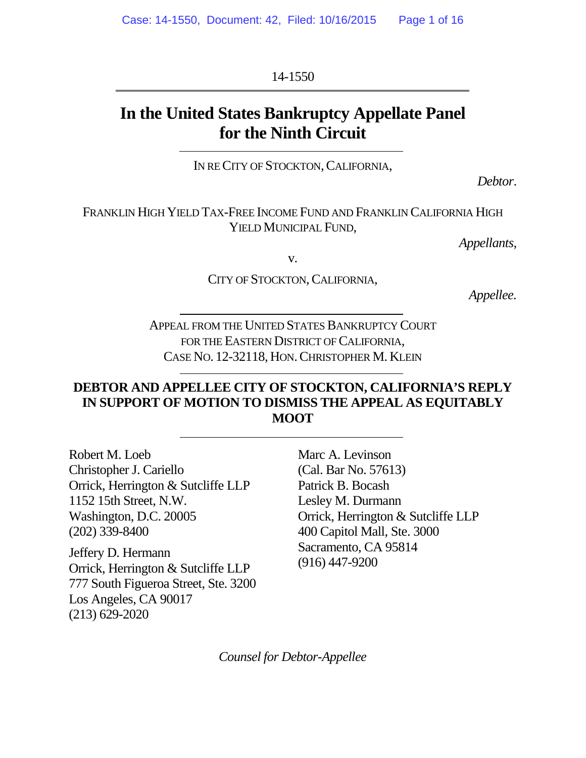14-1550

# **In the United States Bankruptcy Appellate Panel for the Ninth Circuit**

IN RECITY OF STOCKTON, CALIFORNIA,

*Debtor*.

FRANKLIN HIGH YIELD TAX-FREE INCOME FUND AND FRANKLIN CALIFORNIA HIGH YIELD MUNICIPAL FUND.

*Appellants*,

v.

CITY OF STOCKTON, CALIFORNIA,

*Appellee.*

APPEAL FROM THE UNITED STATES BANKRUPTCY COURT FOR THE EASTERN DISTRICT OF CALIFORNIA. CASE NO. 12-32118, HON.CHRISTOPHER M. KLEIN

### **DEBTOR AND APPELLEE CITY OF STOCKTON, CALIFORNIA'S REPLY IN SUPPORT OF MOTION TO DISMISS THE APPEAL AS EQUITABLY MOOT**

Robert M. Loeb Christopher J. Cariello Orrick, Herrington & Sutcliffe LLP 1152 15th Street, N.W. Washington, D.C. 20005 (202) 339-8400

Jeffery D. Hermann Orrick, Herrington & Sutcliffe LLP 777 South Figueroa Street, Ste. 3200 Los Angeles, CA 90017 (213) 629-2020

Marc A. Levinson (Cal. Bar No. 57613) Patrick B. Bocash Lesley M. Durmann Orrick, Herrington & Sutcliffe LLP 400 Capitol Mall, Ste. 3000 Sacramento, CA 95814 (916) 447-9200

*Counsel for Debtor-Appellee*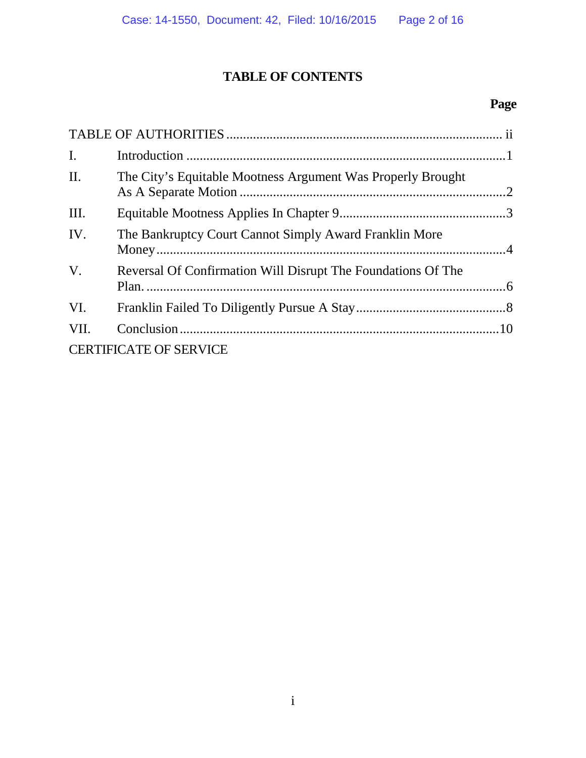# **TABLE OF CONTENTS**

# **Page**

| $\mathbf{I}$ . |                                                              |  |
|----------------|--------------------------------------------------------------|--|
| $\prod$ .      | The City's Equitable Mootness Argument Was Properly Brought  |  |
| III.           |                                                              |  |
| IV.            | The Bankruptcy Court Cannot Simply Award Franklin More       |  |
| $V_{\cdot}$    | Reversal Of Confirmation Will Disrupt The Foundations Of The |  |
| VI.            |                                                              |  |
| VII.           |                                                              |  |
|                | <b>CERTIFICATE OF SERVICE</b>                                |  |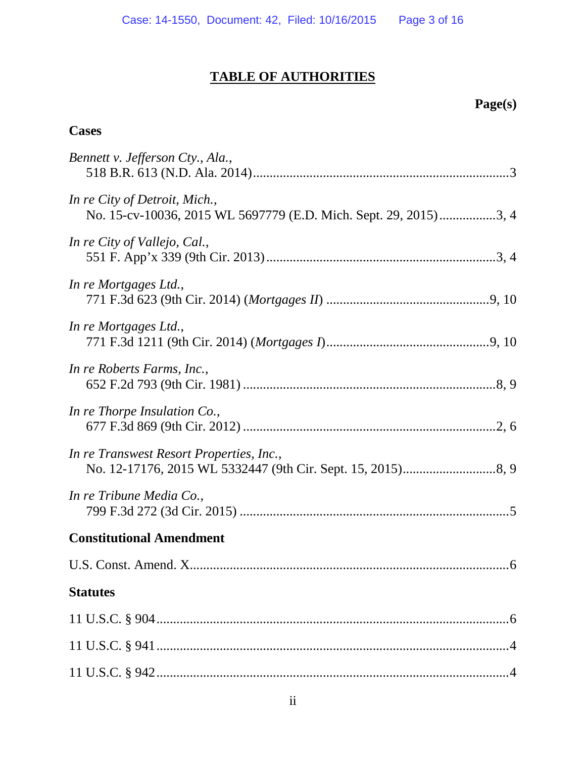# **TABLE OF AUTHORITIES**

# **Page(s)**

## **Cases**

| Bennett v. Jefferson Cty., Ala.,                                                                  |  |  |
|---------------------------------------------------------------------------------------------------|--|--|
| In re City of Detroit, Mich.,<br>No. 15-cv-10036, 2015 WL 5697779 (E.D. Mich. Sept. 29, 2015)3, 4 |  |  |
| In re City of Vallejo, Cal.,                                                                      |  |  |
| In re Mortgages Ltd.,                                                                             |  |  |
| In re Mortgages Ltd.,                                                                             |  |  |
| In re Roberts Farms, Inc.,                                                                        |  |  |
| In re Thorpe Insulation Co.,                                                                      |  |  |
| In re Transwest Resort Properties, Inc.,                                                          |  |  |
| In re Tribune Media Co.,                                                                          |  |  |
| <b>Constitutional Amendment</b>                                                                   |  |  |
|                                                                                                   |  |  |
| <b>Statutes</b>                                                                                   |  |  |
|                                                                                                   |  |  |
|                                                                                                   |  |  |
|                                                                                                   |  |  |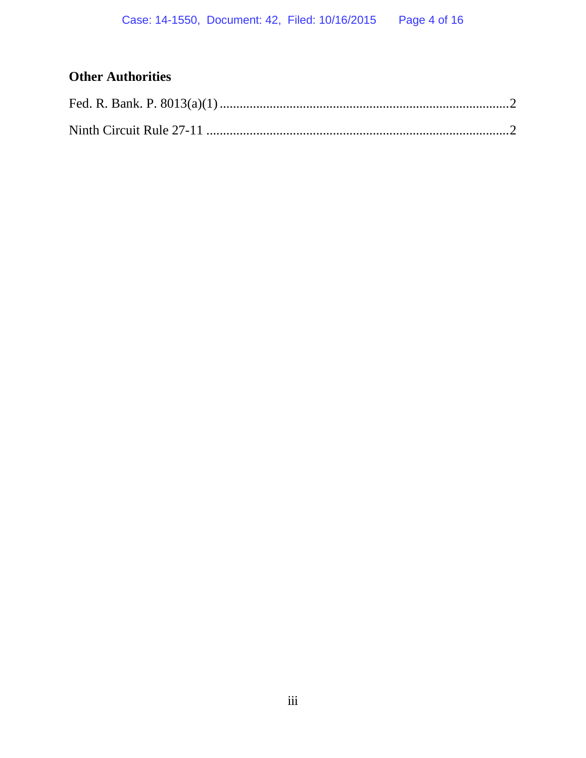## **Other Authorities**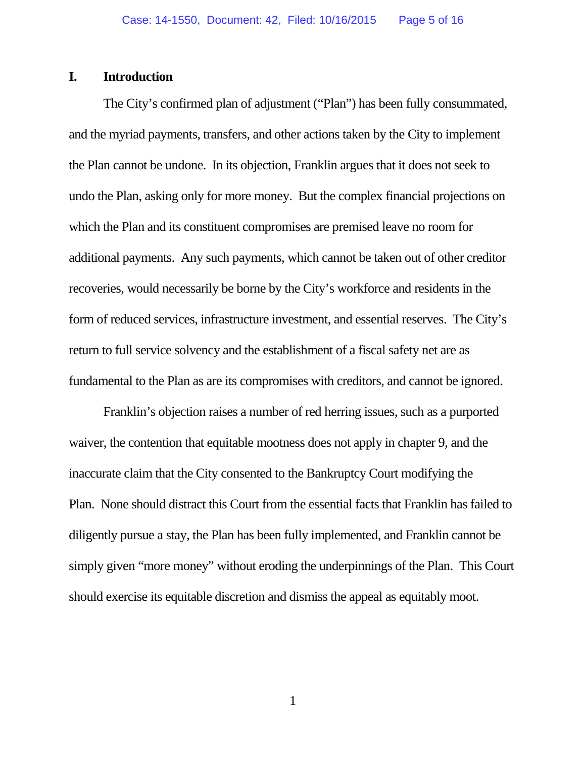#### **I. Introduction**

The City's confirmed plan of adjustment ("Plan") has been fully consummated, and the myriad payments, transfers, and other actions taken by the City to implement the Plan cannot be undone. In its objection, Franklin argues that it does not seek to undo the Plan, asking only for more money. But the complex financial projections on which the Plan and its constituent compromises are premised leave no room for additional payments. Any such payments, which cannot be taken out of other creditor recoveries, would necessarily be borne by the City's workforce and residents in the form of reduced services, infrastructure investment, and essential reserves. The City's return to full service solvency and the establishment of a fiscal safety net are as fundamental to the Plan as are its compromises with creditors, and cannot be ignored.

Franklin's objection raises a number of red herring issues, such as a purported waiver, the contention that equitable mootness does not apply in chapter 9, and the inaccurate claim that the City consented to the Bankruptcy Court modifying the Plan. None should distract this Court from the essential facts that Franklin has failed to diligently pursue a stay, the Plan has been fully implemented, and Franklin cannot be simply given "more money" without eroding the underpinnings of the Plan. This Court should exercise its equitable discretion and dismiss the appeal as equitably moot.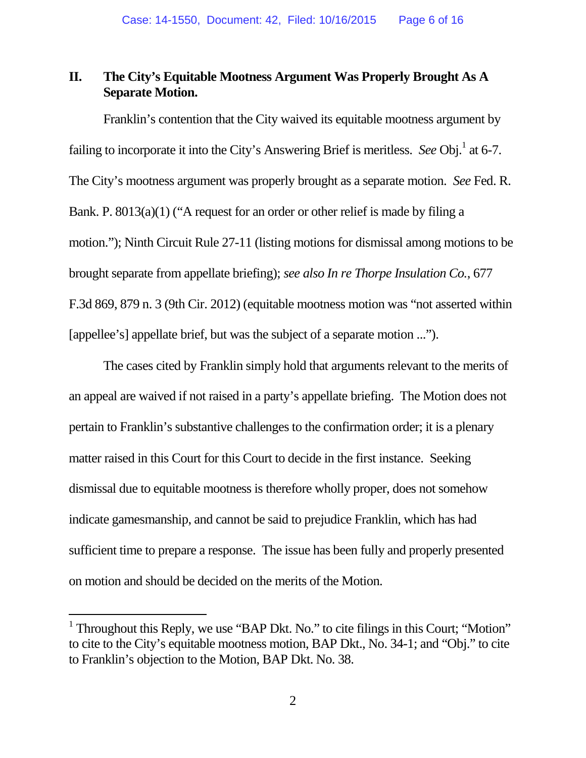### **II. The City's Equitable Mootness Argument Was Properly Brought As A Separate Motion.**

Franklin's contention that the City waived its equitable mootness argument by failing to incorporate it into the City's Answering Brief is meritless. *See* Obj.<sup>1</sup> at 6-7. The City's mootness argument was properly brought as a separate motion. *See* Fed. R. Bank. P. 8013(a)(1) ("A request for an order or other relief is made by filing a motion."); Ninth Circuit Rule 27-11 (listing motions for dismissal among motions to be brought separate from appellate briefing); *see also In re Thorpe Insulation Co.*, 677 F.3d 869, 879 n. 3 (9th Cir. 2012) (equitable mootness motion was "not asserted within [appellee's] appellate brief, but was the subject of a separate motion ...").

The cases cited by Franklin simply hold that arguments relevant to the merits of an appeal are waived if not raised in a party's appellate briefing. The Motion does not pertain to Franklin's substantive challenges to the confirmation order; it is a plenary matter raised in this Court for this Court to decide in the first instance. Seeking dismissal due to equitable mootness is therefore wholly proper, does not somehow indicate gamesmanship, and cannot be said to prejudice Franklin, which has had sufficient time to prepare a response. The issue has been fully and properly presented on motion and should be decided on the merits of the Motion.

<sup>&</sup>lt;sup>1</sup> Throughout this Reply, we use "BAP Dkt. No." to cite filings in this Court; "Motion" to cite to the City's equitable mootness motion, BAP Dkt., No. 34-1; and "Obj." to cite to Franklin's objection to the Motion, BAP Dkt. No. 38.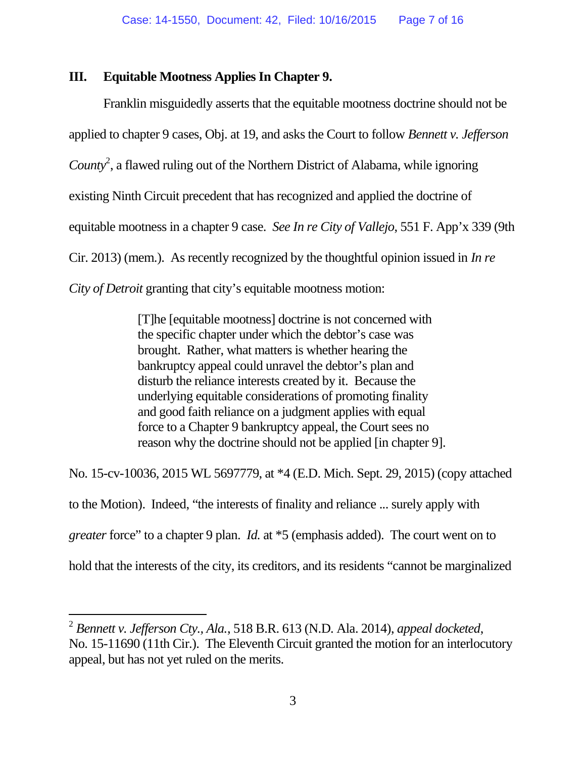### **III. Equitable Mootness Applies In Chapter 9.**

Franklin misguidedly asserts that the equitable mootness doctrine should not be applied to chapter 9 cases, Obj. at 19, and asks the Court to follow *Bennett v. Jefferson* County<sup>2</sup>, a flawed ruling out of the Northern District of Alabama, while ignoring existing Ninth Circuit precedent that has recognized and applied the doctrine of equitable mootness in a chapter 9 case. *See In re City of Vallejo*, 551 F. App'x 339 (9th Cir. 2013) (mem.). As recently recognized by the thoughtful opinion issued in *In re City of Detroit* granting that city's equitable mootness motion:

> [T]he [equitable mootness] doctrine is not concerned with the specific chapter under which the debtor's case was brought. Rather, what matters is whether hearing the bankruptcy appeal could unravel the debtor's plan and disturb the reliance interests created by it. Because the underlying equitable considerations of promoting finality and good faith reliance on a judgment applies with equal force to a Chapter 9 bankruptcy appeal, the Court sees no reason why the doctrine should not be applied [in chapter 9].

No. 15-cv-10036, 2015 WL 5697779, at \*4 (E.D. Mich. Sept. 29, 2015) (copy attached

to the Motion). Indeed, "the interests of finality and reliance ... surely apply with

*greater* force" to a chapter 9 plan. *Id.* at  $*5$  (emphasis added). The court went on to

hold that the interests of the city, its creditors, and its residents "cannot be marginalized

<sup>2</sup> *Bennett v. Jefferson Cty., Ala.*, 518 B.R. 613 (N.D. Ala. 2014), *appeal docketed*, No. 15-11690 (11th Cir.). The Eleventh Circuit granted the motion for an interlocutory appeal, but has not yet ruled on the merits.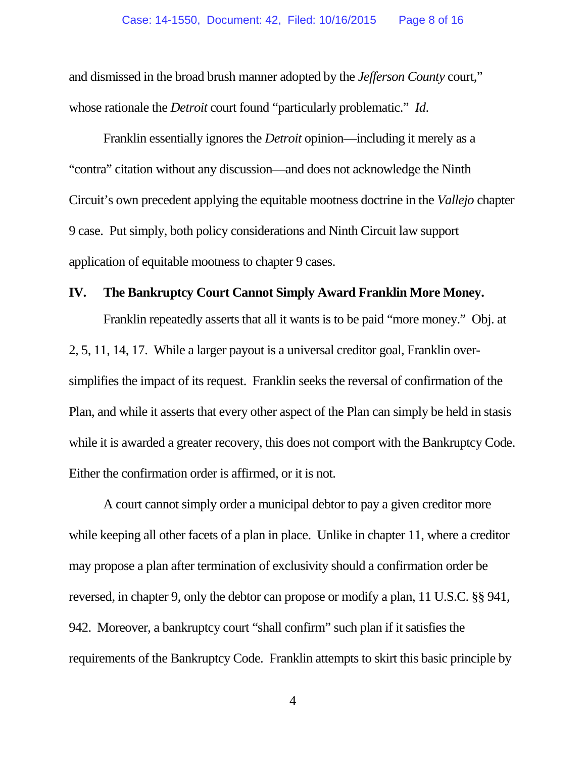and dismissed in the broad brush manner adopted by the *Jefferson County* court," whose rationale the *Detroit* court found "particularly problematic." *Id*.

Franklin essentially ignores the *Detroit* opinion—including it merely as a "contra" citation without any discussion—and does not acknowledge the Ninth Circuit's own precedent applying the equitable mootness doctrine in the *Vallejo* chapter 9 case. Put simply, both policy considerations and Ninth Circuit law support application of equitable mootness to chapter 9 cases.

#### **IV. The Bankruptcy Court Cannot Simply Award Franklin More Money.**

Franklin repeatedly asserts that all it wants is to be paid "more money." Obj. at 2, 5, 11, 14, 17. While a larger payout is a universal creditor goal, Franklin oversimplifies the impact of its request. Franklin seeks the reversal of confirmation of the Plan, and while it asserts that every other aspect of the Plan can simply be held in stasis while it is awarded a greater recovery, this does not comport with the Bankruptcy Code. Either the confirmation order is affirmed, or it is not.

A court cannot simply order a municipal debtor to pay a given creditor more while keeping all other facets of a plan in place. Unlike in chapter 11, where a creditor may propose a plan after termination of exclusivity should a confirmation order be reversed, in chapter 9, only the debtor can propose or modify a plan, 11 U.S.C. §§ 941, 942. Moreover, a bankruptcy court "shall confirm" such plan if it satisfies the requirements of the Bankruptcy Code. Franklin attempts to skirt this basic principle by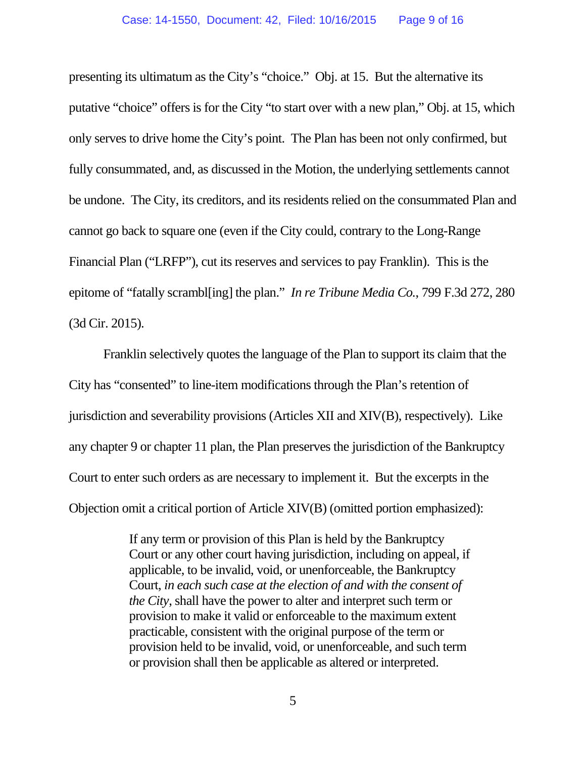presenting its ultimatum as the City's "choice." Obj. at 15. But the alternative its putative "choice" offers is for the City "to start over with a new plan," Obj. at 15, which only serves to drive home the City's point. The Plan has been not only confirmed, but fully consummated, and, as discussed in the Motion, the underlying settlements cannot be undone. The City, its creditors, and its residents relied on the consummated Plan and cannot go back to square one (even if the City could, contrary to the Long-Range Financial Plan ("LRFP"), cut its reserves and services to pay Franklin). This is the epitome of "fatally scrambl[ing] the plan." *In re Tribune Media Co.*, 799 F.3d 272, 280 (3d Cir. 2015).

Franklin selectively quotes the language of the Plan to support its claim that the City has "consented" to line-item modifications through the Plan's retention of jurisdiction and severability provisions (Articles XII and XIV(B), respectively). Like any chapter 9 or chapter 11 plan, the Plan preserves the jurisdiction of the Bankruptcy Court to enter such orders as are necessary to implement it. But the excerpts in the Objection omit a critical portion of Article XIV(B) (omitted portion emphasized):

> If any term or provision of this Plan is held by the Bankruptcy Court or any other court having jurisdiction, including on appeal, if applicable, to be invalid, void, or unenforceable, the Bankruptcy Court, *in each such case at the election of and with the consent of the City*, shall have the power to alter and interpret such term or provision to make it valid or enforceable to the maximum extent practicable, consistent with the original purpose of the term or provision held to be invalid, void, or unenforceable, and such term or provision shall then be applicable as altered or interpreted.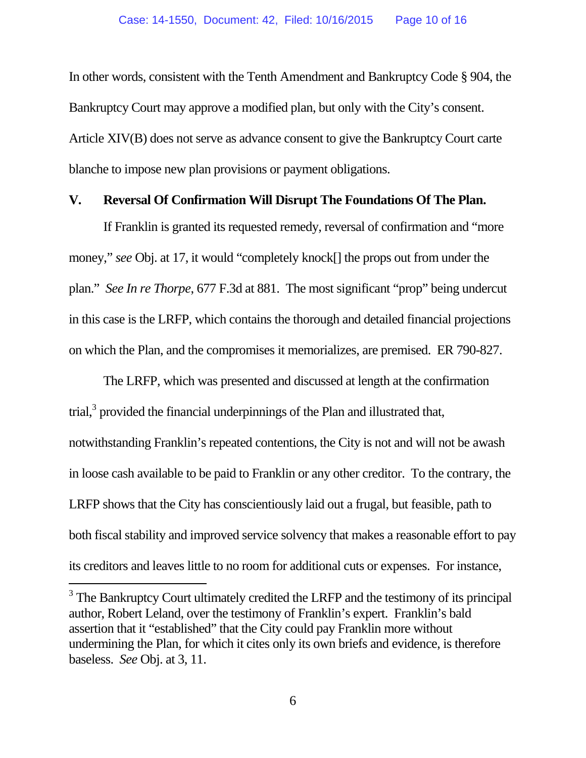In other words, consistent with the Tenth Amendment and Bankruptcy Code § 904, the Bankruptcy Court may approve a modified plan, but only with the City's consent. Article XIV(B) does not serve as advance consent to give the Bankruptcy Court carte blanche to impose new plan provisions or payment obligations.

#### **V. Reversal Of Confirmation Will Disrupt The Foundations Of The Plan.**

If Franklin is granted its requested remedy, reversal of confirmation and "more money," *see* Obj. at 17, it would "completely knock[] the props out from under the plan." *See In re Thorpe*, 677 F.3d at 881. The most significant "prop" being undercut in this case is the LRFP, which contains the thorough and detailed financial projections on which the Plan, and the compromises it memorializes, are premised. ER 790-827.

The LRFP, which was presented and discussed at length at the confirmation trial, $3$  provided the financial underpinnings of the Plan and illustrated that, notwithstanding Franklin's repeated contentions, the City is not and will not be awash in loose cash available to be paid to Franklin or any other creditor. To the contrary, the LRFP shows that the City has conscientiously laid out a frugal, but feasible, path to both fiscal stability and improved service solvency that makes a reasonable effort to pay its creditors and leaves little to no room for additional cuts or expenses. For instance,

 $3$  The Bankruptcy Court ultimately credited the LRFP and the testimony of its principal author, Robert Leland, over the testimony of Franklin's expert. Franklin's bald assertion that it "established" that the City could pay Franklin more without undermining the Plan, for which it cites only its own briefs and evidence, is therefore baseless. *See* Obj. at 3, 11.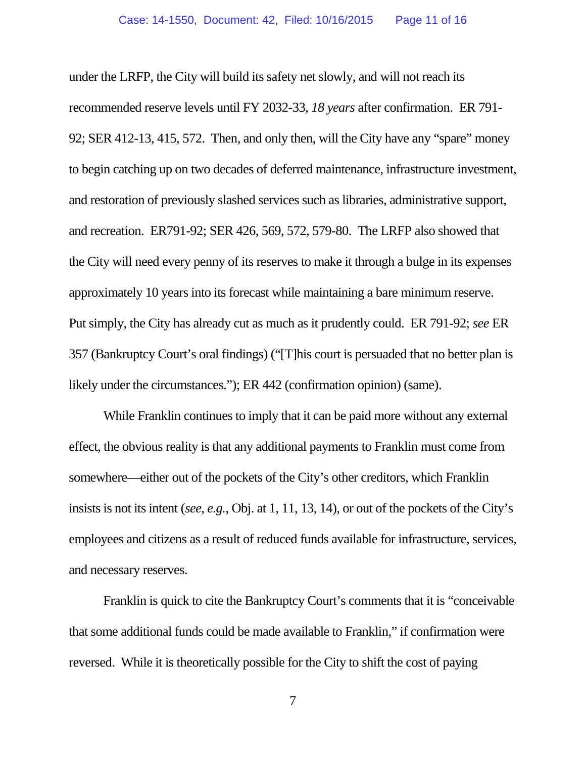under the LRFP, the City will build its safety net slowly, and will not reach its recommended reserve levels until FY 2032-33, *18 years* after confirmation. ER 791- 92; SER 412-13, 415, 572. Then, and only then, will the City have any "spare" money to begin catching up on two decades of deferred maintenance, infrastructure investment, and restoration of previously slashed services such as libraries, administrative support, and recreation. ER791-92; SER 426, 569, 572, 579-80. The LRFP also showed that the City will need every penny of its reserves to make it through a bulge in its expenses approximately 10 years into its forecast while maintaining a bare minimum reserve. Put simply, the City has already cut as much as it prudently could. ER 791-92; *see* ER 357 (Bankruptcy Court's oral findings) ("[T]his court is persuaded that no better plan is likely under the circumstances."); ER 442 (confirmation opinion) (same).

While Franklin continues to imply that it can be paid more without any external effect, the obvious reality is that any additional payments to Franklin must come from somewhere—either out of the pockets of the City's other creditors, which Franklin insists is not its intent (*see, e.g.*, Obj. at 1, 11, 13, 14), or out of the pockets of the City's employees and citizens as a result of reduced funds available for infrastructure, services, and necessary reserves.

Franklin is quick to cite the Bankruptcy Court's comments that it is "conceivable that some additional funds could be made available to Franklin," if confirmation were reversed. While it is theoretically possible for the City to shift the cost of paying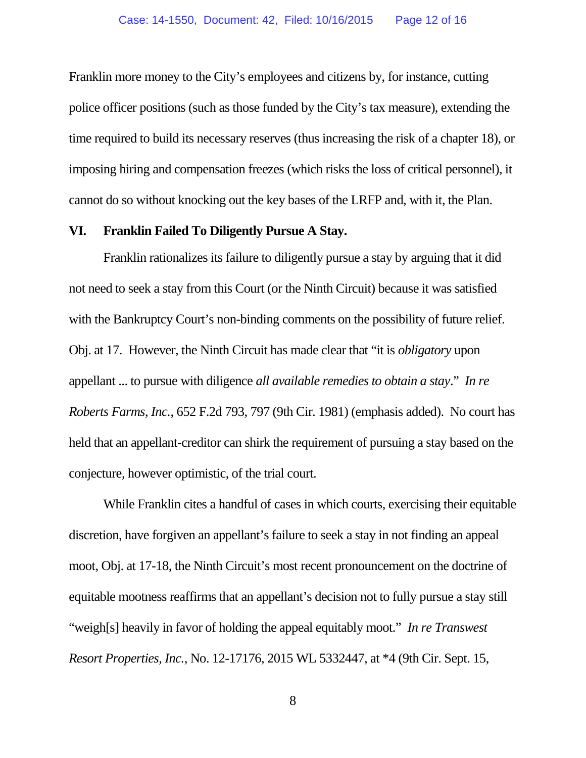Franklin more money to the City's employees and citizens by, for instance, cutting police officer positions (such as those funded by the City's tax measure), extending the time required to build its necessary reserves (thus increasing the risk of a chapter 18), or imposing hiring and compensation freezes (which risks the loss of critical personnel), it cannot do so without knocking out the key bases of the LRFP and, with it, the Plan.

#### **VI. Franklin Failed To Diligently Pursue A Stay.**

Franklin rationalizes its failure to diligently pursue a stay by arguing that it did not need to seek a stay from this Court (or the Ninth Circuit) because it was satisfied with the Bankruptcy Court's non-binding comments on the possibility of future relief. Obj. at 17. However, the Ninth Circuit has made clear that "it is *obligatory* upon appellant ... to pursue with diligence *all available remedies to obtain a stay*." *In re Roberts Farms, Inc.*, 652 F.2d 793, 797 (9th Cir. 1981) (emphasis added). No court has held that an appellant-creditor can shirk the requirement of pursuing a stay based on the conjecture, however optimistic, of the trial court.

While Franklin cites a handful of cases in which courts, exercising their equitable discretion, have forgiven an appellant's failure to seek a stay in not finding an appeal moot, Obj. at 17-18, the Ninth Circuit's most recent pronouncement on the doctrine of equitable mootness reaffirms that an appellant's decision not to fully pursue a stay still "weigh[s] heavily in favor of holding the appeal equitably moot." *In re Transwest Resort Properties, Inc.*, No. 12-17176, 2015 WL 5332447, at \*4 (9th Cir. Sept. 15,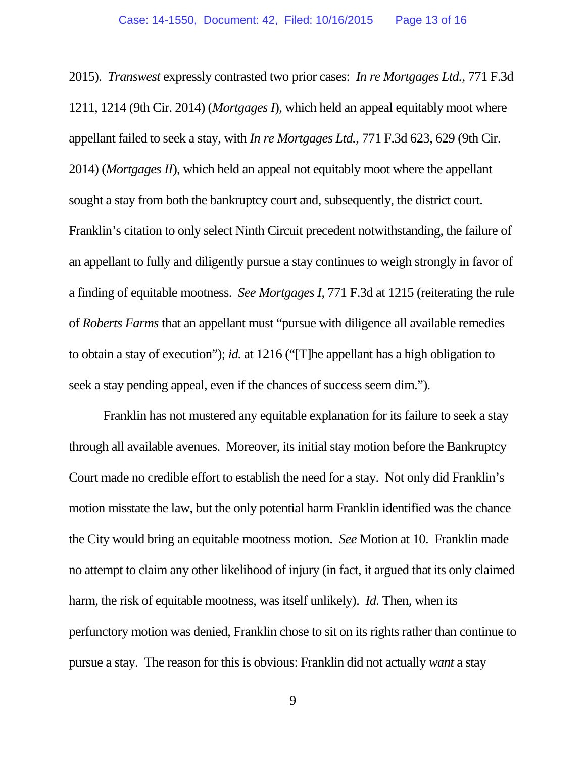2015). *Transwest* expressly contrasted two prior cases: *In re Mortgages Ltd.*, 771 F.3d 1211, 1214 (9th Cir. 2014) (*Mortgages I*), which held an appeal equitably moot where appellant failed to seek a stay, with *In re Mortgages Ltd.*, 771 F.3d 623, 629 (9th Cir. 2014) (*Mortgages II*), which held an appeal not equitably moot where the appellant sought a stay from both the bankruptcy court and, subsequently, the district court. Franklin's citation to only select Ninth Circuit precedent notwithstanding, the failure of an appellant to fully and diligently pursue a stay continues to weigh strongly in favor of a finding of equitable mootness. *See Mortgages I*, 771 F.3d at 1215 (reiterating the rule of *Roberts Farms* that an appellant must "pursue with diligence all available remedies to obtain a stay of execution"); *id.* at 1216 ("[T]he appellant has a high obligation to seek a stay pending appeal, even if the chances of success seem dim.").

Franklin has not mustered any equitable explanation for its failure to seek a stay through all available avenues. Moreover, its initial stay motion before the Bankruptcy Court made no credible effort to establish the need for a stay. Not only did Franklin's motion misstate the law, but the only potential harm Franklin identified was the chance the City would bring an equitable mootness motion. *See* Motion at 10. Franklin made no attempt to claim any other likelihood of injury (in fact, it argued that its only claimed harm, the risk of equitable mootness, was itself unlikely). *Id.* Then, when its perfunctory motion was denied, Franklin chose to sit on its rights rather than continue to pursue a stay. The reason for this is obvious: Franklin did not actually *want* a stay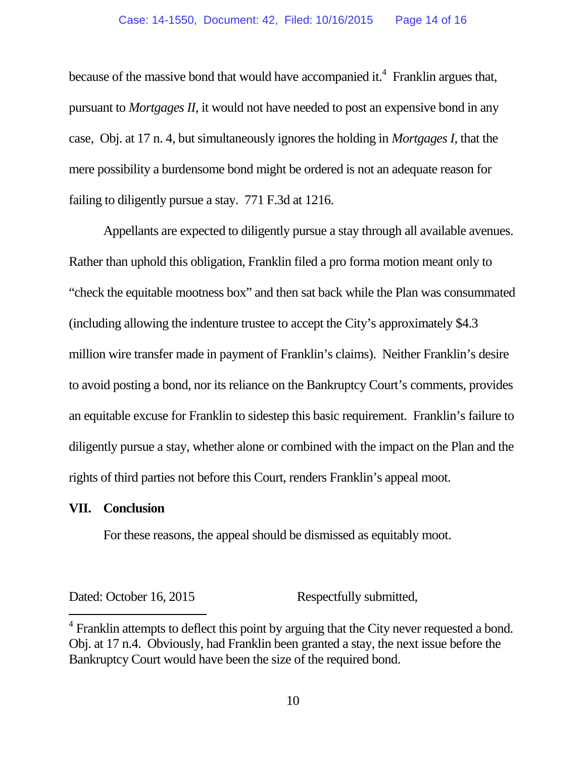because of the massive bond that would have accompanied it.<sup>4</sup> Franklin argues that, pursuant to *Mortgages II*, it would not have needed to post an expensive bond in any case, Obj. at 17 n. 4, but simultaneously ignores the holding in *Mortgages I*, that the mere possibility a burdensome bond might be ordered is not an adequate reason for failing to diligently pursue a stay. 771 F.3d at 1216.

Appellants are expected to diligently pursue a stay through all available avenues. Rather than uphold this obligation, Franklin filed a pro forma motion meant only to "check the equitable mootness box" and then sat back while the Plan was consummated (including allowing the indenture trustee to accept the City's approximately \$4.3 million wire transfer made in payment of Franklin's claims). Neither Franklin's desire to avoid posting a bond, nor its reliance on the Bankruptcy Court's comments, provides an equitable excuse for Franklin to sidestep this basic requirement. Franklin's failure to diligently pursue a stay, whether alone or combined with the impact on the Plan and the rights of third parties not before this Court, renders Franklin's appeal moot.

#### **VII. Conclusion**

For these reasons, the appeal should be dismissed as equitably moot.

Dated: October 16, 2015 Respectfully submitted,

 $4$  Franklin attempts to deflect this point by arguing that the City never requested a bond. Obj. at 17 n.4. Obviously, had Franklin been granted a stay, the next issue before the Bankruptcy Court would have been the size of the required bond.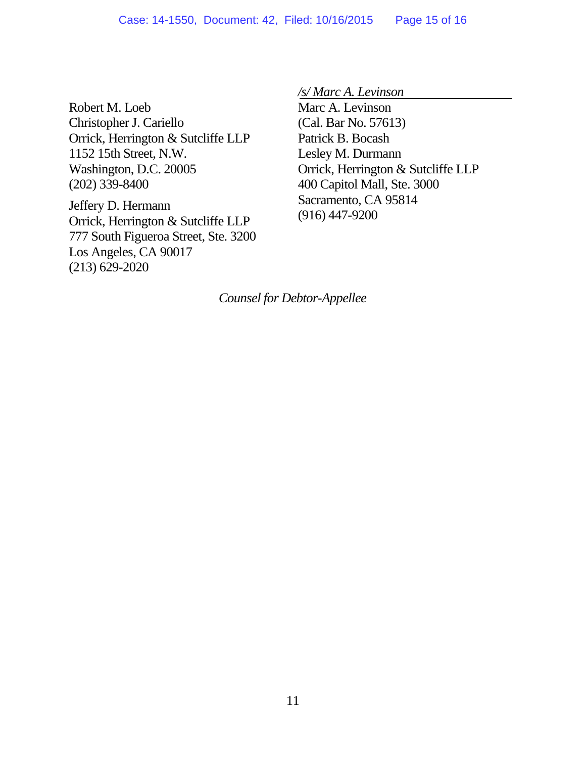Robert M. Loeb Christopher J. Cariello Orrick, Herrington & Sutcliffe LLP 1152 15th Street, N.W. Washington, D.C. 20005 (202) 339-8400

Jeffery D. Hermann Orrick, Herrington & Sutcliffe LLP 777 South Figueroa Street, Ste. 3200 Los Angeles, CA 90017 (213) 629-2020

*/s/ Marc A. Levinson*

Marc A. Levinson (Cal. Bar No. 57613) Patrick B. Bocash Lesley M. Durmann Orrick, Herrington & Sutcliffe LLP 400 Capitol Mall, Ste. 3000 Sacramento, CA 95814 (916) 447-9200

*Counsel for Debtor-Appellee*